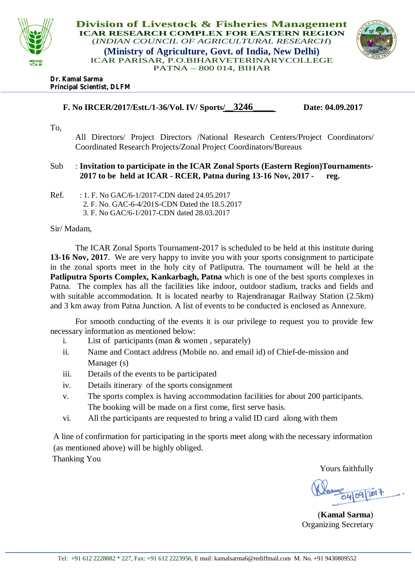

**Division of Livestock & Fisheries Management ICAR RESEARCH COMPLEX FOR EASTERN REGION** (*INDIAN COUNCIL OF AGRICULTURAL RESEARCH*) **(Ministry of Agriculture, Govt. of India, New Delhi)** ICAR PARISAR, P.O.BIHARVETERINARYCOLLEGE PATNA – 800 014, BIHAR



#### **Dr. Kamal Sarma Principal Scientist, DLFM**

 **F. No IRCER/2017/Estt./1-36/Vol. IV/ Sports/\_\_3246\_\_\_\_\_ Date: 04.09.2017** 

To,

All Directors/ Project Directors /National Research Centers/Project Coordinators/ Coordinated Research Projects/Zonal Project Coordinators/Bureaus

## Sub : **Invitation to participate in the ICAR Zonal Sports (Eastern Region)Tournaments- 2017 to be held at ICAR - RCER, Patna during 13-16 Nov, 2017 - reg.**

Ref. : 1. F. No GAC/6-1/2017-CDN dated 24.05.2017 2. F. No. GAC-6-4/201S-CDN Dated the 18.5.2017 3. F. No GAC/6-1/2017-CDN dated 28.03.2017

### Sir/ Madam,

The ICAR Zonal Sports Tournament-2017 is scheduled to be held at this institute during **13-16 Nov, 2017**. We are very happy to invite you with your sports consignment to participate in the zonal sports meet in the holy city of Patliputra. The tournament will be held at the **Patliputra Sports Complex, Kankarbagh, Patna** which is one of the best sports complexes in Patna. The complex has all the facilities like indoor, outdoor stadium, tracks and fields and with suitable accommodation. It is located nearby to Rajendranagar Railway Station (2.5km) and 3 km away from Patna Junction. A list of events to be conducted is enclosed as Annexure.

For smooth conducting of the events it is our privilege to request you to provide few necessary information as mentioned below:

- i. List of participants (man & women , separately)
- ii. Name and Contact address (Mobile no. and email id) of Chief-de-mission and Manager (s)
- iii. Details of the events to be participated
- iv. Details itinerary of the sports consignment
- v. The sports complex is having accommodation facilities for about 200 participants. The booking will be made on a first come, first serve basis.
- vi. All the participants are requested to bring a valid ID card along with them

A line of confirmation for participating in the sports meet along with the necessary information (as mentioned above) will be highly obliged.

Thanking You

Yours faithfully

04/09/2017

(**Kamal Sarma**) Organizing Secretary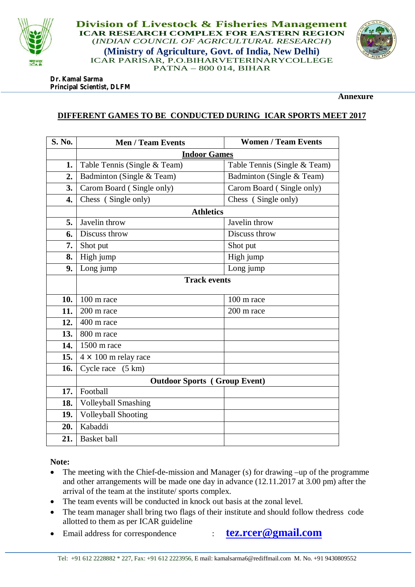

**Division of Livestock & Fisheries Management ICAR RESEARCH COMPLEX FOR EASTERN REGION** (*INDIAN COUNCIL OF AGRICULTURAL RESEARCH*) **(Ministry of Agriculture, Govt. of India, New Delhi)** ICAR PARISAR, P.O.BIHARVETERINARYCOLLEGE PATNA – 800 014, BIHAR



**Dr. Kamal Sarma Principal Scientist, DLFM**

**Annexure**

# **DIFFERENT GAMES TO BE CONDUCTED DURING ICAR SPORTS MEET 2017**

| S. No. | <b>Men / Team Events</b>            | <b>Women / Team Events</b>   |
|--------|-------------------------------------|------------------------------|
|        | <b>Indoor Games</b>                 |                              |
| 1.     | Table Tennis (Single & Team)        | Table Tennis (Single & Team) |
| 2.     | Badminton (Single & Team)           | Badminton (Single & Team)    |
| 3.     | Carom Board (Single only)           | Carom Board (Single only)    |
| 4.     | Chess (Single only)                 | Chess (Single only)          |
|        | <b>Athletics</b>                    |                              |
| 5.     | Javelin throw                       | Javelin throw                |
| 6.     | Discuss throw                       | Discuss throw                |
| 7.     | Shot put                            | Shot put                     |
| 8.     | High jump                           | High jump                    |
| 9.     | Long jump                           | Long jump                    |
|        | <b>Track events</b>                 |                              |
|        |                                     |                              |
| 10.    | $100 \text{ m race}$                | 100 m race                   |
| 11.    | 200 m race                          | 200 m race                   |
| 12.    | 400 m race                          |                              |
| 13.    | 800 m race                          |                              |
| 14.    | 1500 m race                         |                              |
| 15.    | $4 \times 100$ m relay race         |                              |
| 16.    | (5 km)<br>Cycle race                |                              |
|        | <b>Outdoor Sports</b> (Group Event) |                              |
| 17.    | Football                            |                              |
| 18.    | <b>Volleyball Smashing</b>          |                              |
| 19.    | <b>Volleyball Shooting</b>          |                              |
| 20.    | Kabaddi                             |                              |
| 21.    | <b>Basket</b> ball                  |                              |

**Note:** 

- The meeting with the Chief-de-mission and Manager (s) for drawing –up of the programme and other arrangements will be made one day in advance (12.11.2017 at 3.00 pm) after the arrival of the team at the institute/ sports complex.
- The team events will be conducted in knock out basis at the zonal level.
- The team manager shall bring two flags of their institute and should follow thedress code allotted to them as per ICAR guideline
- Email address for correspondence : **tez.rcer@gmail.com**